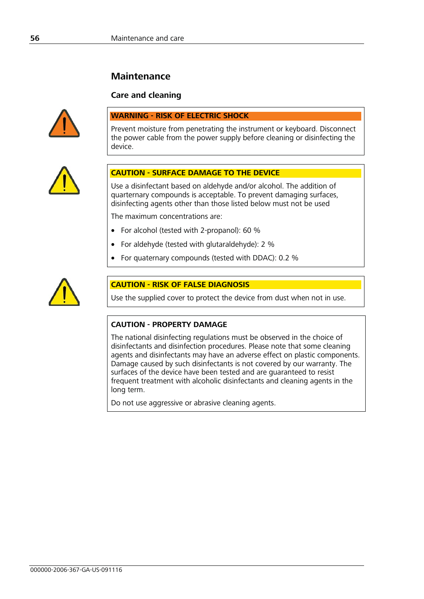# **Maintenance**

## **Care and cleaning**



#### **WARNING - RISK OF ELECTRIC SHOCK**

Prevent moisture from penetrating the instrument or keyboard. Disconnect the power cable from the power supply before cleaning or disinfecting the device.



## **CAUTION - SURFACE DAMAGE TO THE DEVICE**

Use a disinfectant based on aldehyde and/or alcohol. The addition of quarternary compounds is acceptable. To prevent damaging surfaces, disinfecting agents other than those listed below must not be used

The maximum concentrations are:

- For alcohol (tested with 2-propanol): 60 %
- For aldehyde (tested with glutaraldehyde): 2 %
- For quaternary compounds (tested with DDAC): 0.2 %



## **CAUTION - RISK OF FALSE DIAGNOSIS**

Use the supplied cover to protect the device from dust when not in use.

## **CAUTION - PROPERTY DAMAGE**

The national disinfecting regulations must be observed in the choice of disinfectants and disinfection procedures. Please note that some cleaning agents and disinfectants may have an adverse effect on plastic components. Damage caused by such disinfectants is not covered by our warranty. The surfaces of the device have been tested and are guaranteed to resist frequent treatment with alcoholic disinfectants and cleaning agents in the long term.

Do not use aggressive or abrasive cleaning agents.